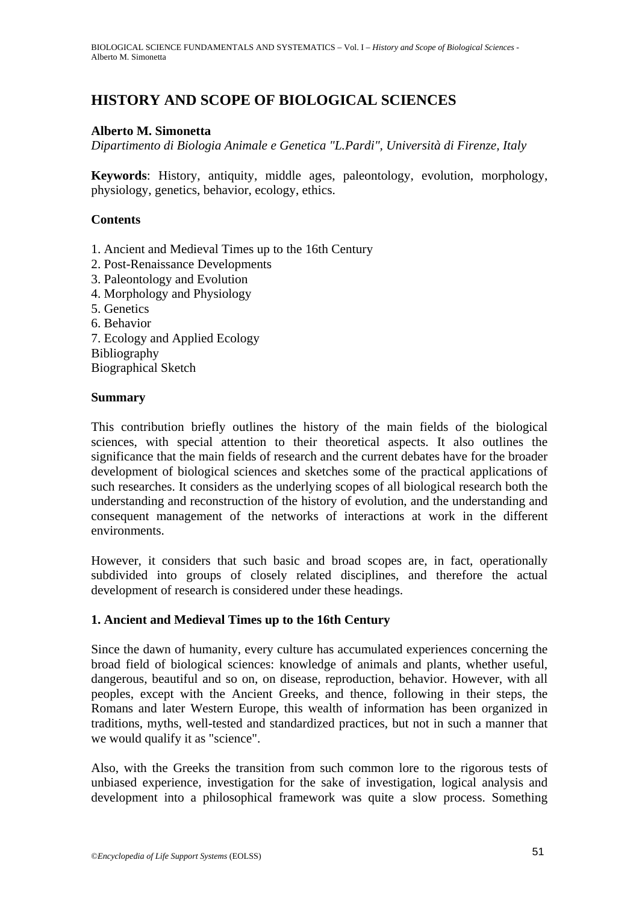# **HISTORY AND SCOPE OF BIOLOGICAL SCIENCES**

#### **Alberto M. Simonetta**

*Dipartimento di Biologia Animale e Genetica "L.Pardi", Università di Firenze, Italy* 

**Keywords**: History, antiquity, middle ages, paleontology, evolution, morphology, physiology, genetics, behavior, ecology, ethics.

### **Contents**

- 1. Ancient and Medieval Times up to the 16th Century
- 2. Post-Renaissance Developments
- 3. Paleontology and Evolution
- 4. Morphology and Physiology
- 5. Genetics
- 6. Behavior
- 7. Ecology and Applied Ecology Bibliography
- Biographical Sketch

#### **Summary**

This contribution briefly outlines the history of the main fields of the biological sciences, with special attention to their theoretical aspects. It also outlines the significance that the main fields of research and the current debates have for the broader development of biological sciences and sketches some of the practical applications of such researches. It considers as the underlying scopes of all biological research both the understanding and reconstruction of the history of evolution, and the understanding and consequent management of the networks of interactions at work in the different environments.

However, it considers that such basic and broad scopes are, in fact, operationally subdivided into groups of closely related disciplines, and therefore the actual development of research is considered under these headings.

## **1. Ancient and Medieval Times up to the 16th Century**

Since the dawn of humanity, every culture has accumulated experiences concerning the broad field of biological sciences: knowledge of animals and plants, whether useful, dangerous, beautiful and so on, on disease, reproduction, behavior. However, with all peoples, except with the Ancient Greeks, and thence, following in their steps, the Romans and later Western Europe, this wealth of information has been organized in traditions, myths, well-tested and standardized practices, but not in such a manner that we would qualify it as "science".

Also, with the Greeks the transition from such common lore to the rigorous tests of unbiased experience, investigation for the sake of investigation, logical analysis and development into a philosophical framework was quite a slow process. Something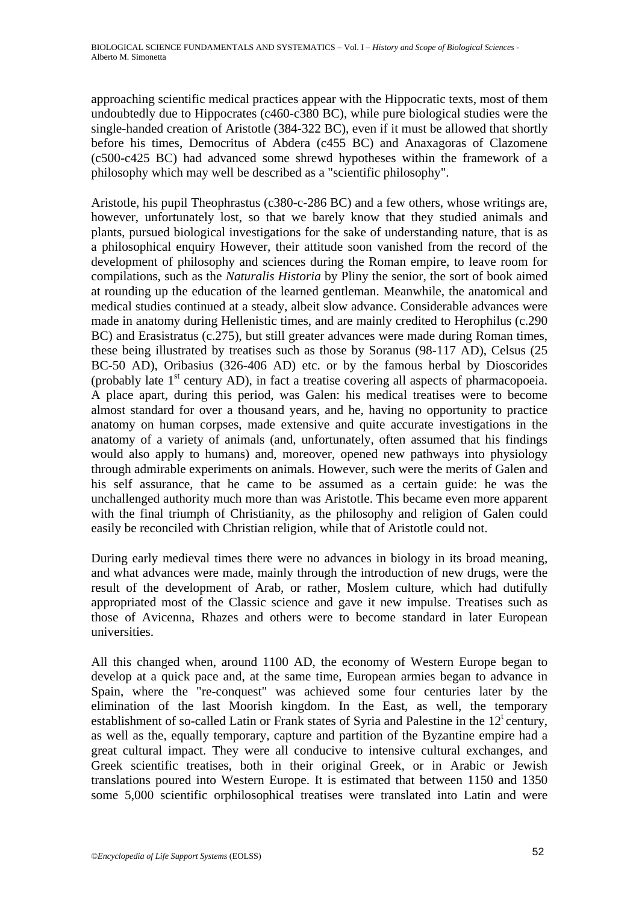approaching scientific medical practices appear with the Hippocratic texts, most of them undoubtedly due to Hippocrates (c460-c380 BC), while pure biological studies were the single-handed creation of Aristotle (384-322 BC), even if it must be allowed that shortly before his times, Democritus of Abdera (c455 BC) and Anaxagoras of Clazomene (c500-c425 BC) had advanced some shrewd hypotheses within the framework of a philosophy which may well be described as a "scientific philosophy".

Aristotle, his pupil Theophrastus (c380-c-286 BC) and a few others, whose writings are, however, unfortunately lost, so that we barely know that they studied animals and plants, pursued biological investigations for the sake of understanding nature, that is as a philosophical enquiry However, their attitude soon vanished from the record of the development of philosophy and sciences during the Roman empire, to leave room for compilations, such as the *Naturalis Historia* by Pliny the senior, the sort of book aimed at rounding up the education of the learned gentleman. Meanwhile, the anatomical and medical studies continued at a steady, albeit slow advance. Considerable advances were made in anatomy during Hellenistic times, and are mainly credited to Herophilus (c.290 BC) and Erasistratus (c.275), but still greater advances were made during Roman times, these being illustrated by treatises such as those by Soranus (98-117 AD), Celsus (25 BC-50 AD), Oribasius (326-406 AD) etc. or by the famous herbal by Dioscorides (probably late  $1<sup>st</sup>$  century AD), in fact a treatise covering all aspects of pharmacopoeia. A place apart, during this period, was Galen: his medical treatises were to become almost standard for over a thousand years, and he, having no opportunity to practice anatomy on human corpses, made extensive and quite accurate investigations in the anatomy of a variety of animals (and, unfortunately, often assumed that his findings would also apply to humans) and, moreover, opened new pathways into physiology through admirable experiments on animals. However, such were the merits of Galen and his self assurance, that he came to be assumed as a certain guide: he was the unchallenged authority much more than was Aristotle. This became even more apparent with the final triumph of Christianity, as the philosophy and religion of Galen could easily be reconciled with Christian religion, while that of Aristotle could not.

During early medieval times there were no advances in biology in its broad meaning, and what advances were made, mainly through the introduction of new drugs, were the result of the development of Arab, or rather, Moslem culture, which had dutifully appropriated most of the Classic science and gave it new impulse. Treatises such as those of Avicenna, Rhazes and others were to become standard in later European universities.

All this changed when, around 1100 AD, the economy of Western Europe began to develop at a quick pace and, at the same time, European armies began to advance in Spain, where the "re-conquest" was achieved some four centuries later by the elimination of the last Moorish kingdom. In the East, as well, the temporary establishment of so-called Latin or Frank states of Syria and Palestine in the  $12<sup>t</sup>$  century, as well as the, equally temporary, capture and partition of the Byzantine empire had a great cultural impact. They were all conducive to intensive cultural exchanges, and Greek scientific treatises, both in their original Greek, or in Arabic or Jewish translations poured into Western Europe. It is estimated that between 1150 and 1350 some 5,000 scientific orphilosophical treatises were translated into Latin and were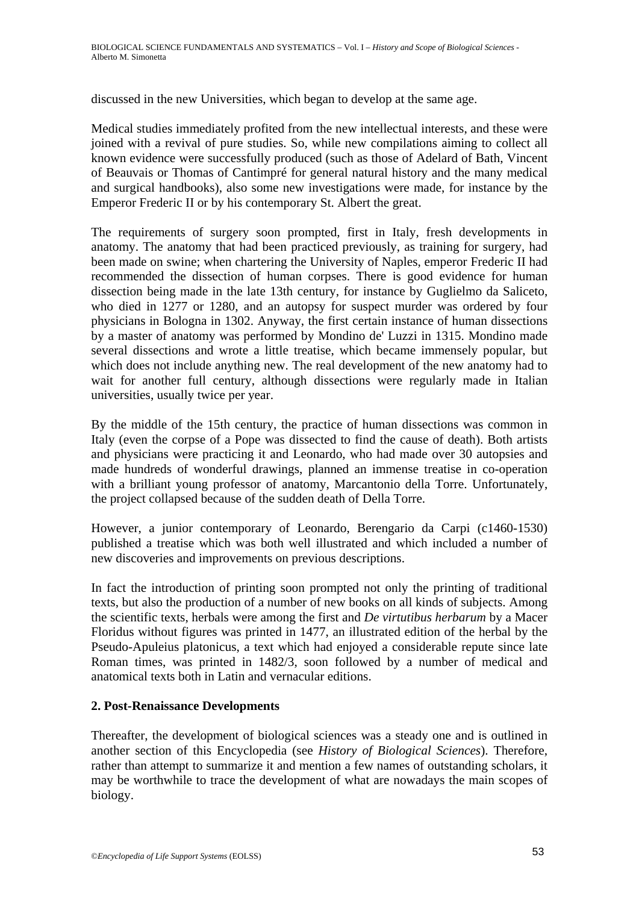discussed in the new Universities, which began to develop at the same age.

Medical studies immediately profited from the new intellectual interests, and these were joined with a revival of pure studies. So, while new compilations aiming to collect all known evidence were successfully produced (such as those of Adelard of Bath, Vincent of Beauvais or Thomas of Cantimpré for general natural history and the many medical and surgical handbooks), also some new investigations were made, for instance by the Emperor Frederic II or by his contemporary St. Albert the great.

The requirements of surgery soon prompted, first in Italy, fresh developments in anatomy. The anatomy that had been practiced previously, as training for surgery, had been made on swine; when chartering the University of Naples, emperor Frederic II had recommended the dissection of human corpses. There is good evidence for human dissection being made in the late 13th century, for instance by Guglielmo da Saliceto, who died in 1277 or 1280, and an autopsy for suspect murder was ordered by four physicians in Bologna in 1302. Anyway, the first certain instance of human dissections by a master of anatomy was performed by Mondino de' Luzzi in 1315. Mondino made several dissections and wrote a little treatise, which became immensely popular, but which does not include anything new. The real development of the new anatomy had to wait for another full century, although dissections were regularly made in Italian universities, usually twice per year.

By the middle of the 15th century, the practice of human dissections was common in Italy (even the corpse of a Pope was dissected to find the cause of death). Both artists and physicians were practicing it and Leonardo, who had made over 30 autopsies and made hundreds of wonderful drawings, planned an immense treatise in co-operation with a brilliant young professor of anatomy, Marcantonio della Torre. Unfortunately, the project collapsed because of the sudden death of Della Torre.

However, a junior contemporary of Leonardo, Berengario da Carpi (c1460-1530) published a treatise which was both well illustrated and which included a number of new discoveries and improvements on previous descriptions.

In fact the introduction of printing soon prompted not only the printing of traditional texts, but also the production of a number of new books on all kinds of subjects. Among the scientific texts, herbals were among the first and *De virtutibus herbarum* by a Macer Floridus without figures was printed in 1477, an illustrated edition of the herbal by the Pseudo-Apuleius platonicus, a text which had enjoyed a considerable repute since late Roman times, was printed in 1482/3, soon followed by a number of medical and anatomical texts both in Latin and vernacular editions.

## **2. Post-Renaissance Developments**

Thereafter, the development of biological sciences was a steady one and is outlined in another section of this Encyclopedia (see *History of Biological Sciences*). Therefore, rather than attempt to summarize it and mention a few names of outstanding scholars, it may be worthwhile to trace the development of what are nowadays the main scopes of biology.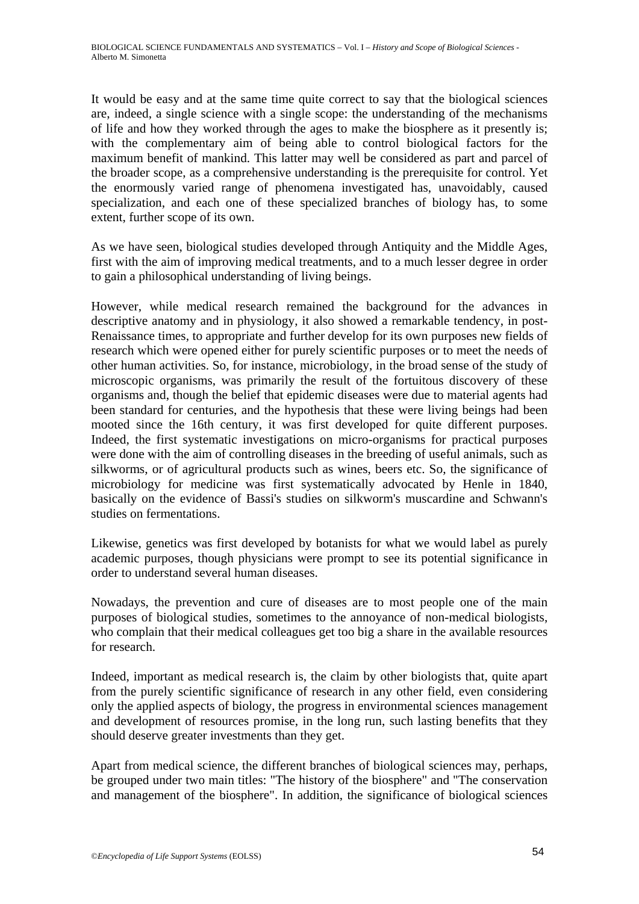It would be easy and at the same time quite correct to say that the biological sciences are, indeed, a single science with a single scope: the understanding of the mechanisms of life and how they worked through the ages to make the biosphere as it presently is; with the complementary aim of being able to control biological factors for the maximum benefit of mankind. This latter may well be considered as part and parcel of the broader scope, as a comprehensive understanding is the prerequisite for control. Yet the enormously varied range of phenomena investigated has, unavoidably, caused specialization, and each one of these specialized branches of biology has, to some extent, further scope of its own.

As we have seen, biological studies developed through Antiquity and the Middle Ages, first with the aim of improving medical treatments, and to a much lesser degree in order to gain a philosophical understanding of living beings.

However, while medical research remained the background for the advances in descriptive anatomy and in physiology, it also showed a remarkable tendency, in post-Renaissance times, to appropriate and further develop for its own purposes new fields of research which were opened either for purely scientific purposes or to meet the needs of other human activities. So, for instance, microbiology, in the broad sense of the study of microscopic organisms, was primarily the result of the fortuitous discovery of these organisms and, though the belief that epidemic diseases were due to material agents had been standard for centuries, and the hypothesis that these were living beings had been mooted since the 16th century, it was first developed for quite different purposes. Indeed, the first systematic investigations on micro-organisms for practical purposes were done with the aim of controlling diseases in the breeding of useful animals, such as silkworms, or of agricultural products such as wines, beers etc. So, the significance of microbiology for medicine was first systematically advocated by Henle in 1840, basically on the evidence of Bassi's studies on silkworm's muscardine and Schwann's studies on fermentations.

Likewise, genetics was first developed by botanists for what we would label as purely academic purposes, though physicians were prompt to see its potential significance in order to understand several human diseases.

Nowadays, the prevention and cure of diseases are to most people one of the main purposes of biological studies, sometimes to the annoyance of non-medical biologists, who complain that their medical colleagues get too big a share in the available resources for research.

Indeed, important as medical research is, the claim by other biologists that, quite apart from the purely scientific significance of research in any other field, even considering only the applied aspects of biology, the progress in environmental sciences management and development of resources promise, in the long run, such lasting benefits that they should deserve greater investments than they get.

Apart from medical science, the different branches of biological sciences may, perhaps, be grouped under two main titles: "The history of the biosphere" and "The conservation and management of the biosphere". In addition, the significance of biological sciences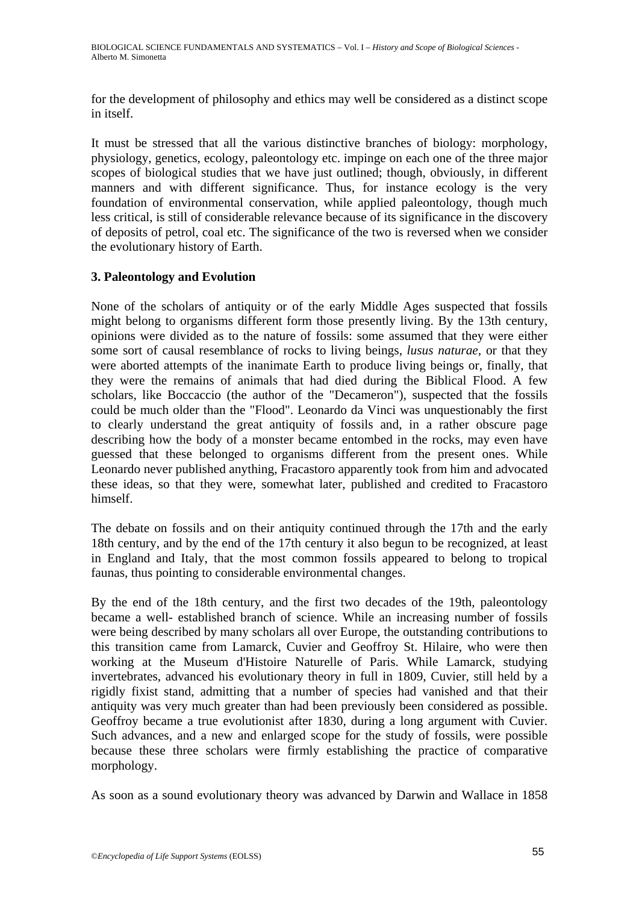for the development of philosophy and ethics may well be considered as a distinct scope in itself.

It must be stressed that all the various distinctive branches of biology: morphology, physiology, genetics, ecology, paleontology etc. impinge on each one of the three major scopes of biological studies that we have just outlined; though, obviously, in different manners and with different significance. Thus, for instance ecology is the very foundation of environmental conservation, while applied paleontology, though much less critical, is still of considerable relevance because of its significance in the discovery of deposits of petrol, coal etc. The significance of the two is reversed when we consider the evolutionary history of Earth.

# **3. Paleontology and Evolution**

None of the scholars of antiquity or of the early Middle Ages suspected that fossils might belong to organisms different form those presently living. By the 13th century, opinions were divided as to the nature of fossils: some assumed that they were either some sort of causal resemblance of rocks to living beings, *lusus naturae,* or that they were aborted attempts of the inanimate Earth to produce living beings or, finally, that they were the remains of animals that had died during the Biblical Flood. A few scholars, like Boccaccio (the author of the "Decameron"), suspected that the fossils could be much older than the "Flood". Leonardo da Vinci was unquestionably the first to clearly understand the great antiquity of fossils and, in a rather obscure page describing how the body of a monster became entombed in the rocks, may even have guessed that these belonged to organisms different from the present ones. While Leonardo never published anything, Fracastoro apparently took from him and advocated these ideas, so that they were, somewhat later, published and credited to Fracastoro himself.

The debate on fossils and on their antiquity continued through the 17th and the early 18th century, and by the end of the 17th century it also begun to be recognized, at least in England and Italy, that the most common fossils appeared to belong to tropical faunas, thus pointing to considerable environmental changes.

By the end of the 18th century, and the first two decades of the 19th, paleontology became a well- established branch of science. While an increasing number of fossils were being described by many scholars all over Europe, the outstanding contributions to this transition came from Lamarck, Cuvier and Geoffroy St. Hilaire, who were then working at the Museum d'Histoire Naturelle of Paris. While Lamarck, studying invertebrates, advanced his evolutionary theory in full in 1809, Cuvier, still held by a rigidly fixist stand, admitting that a number of species had vanished and that their antiquity was very much greater than had been previously been considered as possible. Geoffroy became a true evolutionist after 1830, during a long argument with Cuvier. Such advances, and a new and enlarged scope for the study of fossils, were possible because these three scholars were firmly establishing the practice of comparative morphology.

As soon as a sound evolutionary theory was advanced by Darwin and Wallace in 1858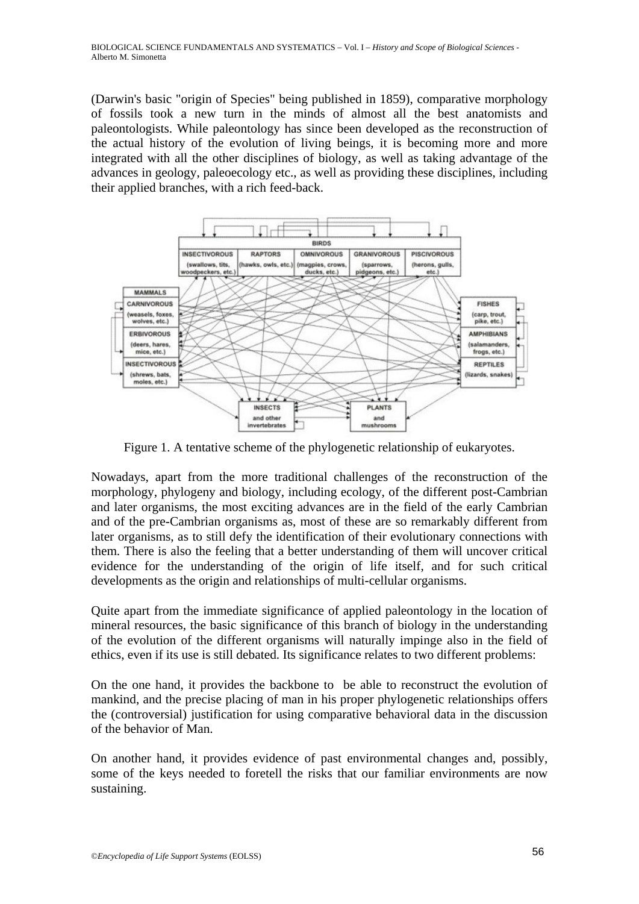(Darwin's basic "origin of Species" being published in 1859), comparative morphology of fossils took a new turn in the minds of almost all the best anatomists and paleontologists. While paleontology has since been developed as the reconstruction of the actual history of the evolution of living beings, it is becoming more and more integrated with all the other disciplines of biology, as well as taking advantage of the advances in geology, paleoecology etc., as well as providing these disciplines, including their applied branches, with a rich feed-back.



Figure 1. A tentative scheme of the phylogenetic relationship of eukaryotes.

Nowadays, apart from the more traditional challenges of the reconstruction of the morphology, phylogeny and biology, including ecology, of the different post-Cambrian and later organisms, the most exciting advances are in the field of the early Cambrian and of the pre-Cambrian organisms as, most of these are so remarkably different from later organisms, as to still defy the identification of their evolutionary connections with them. There is also the feeling that a better understanding of them will uncover critical evidence for the understanding of the origin of life itself, and for such critical developments as the origin and relationships of multi-cellular organisms.

Quite apart from the immediate significance of applied paleontology in the location of mineral resources, the basic significance of this branch of biology in the understanding of the evolution of the different organisms will naturally impinge also in the field of ethics, even if its use is still debated. Its significance relates to two different problems:

On the one hand, it provides the backbone to be able to reconstruct the evolution of mankind, and the precise placing of man in his proper phylogenetic relationships offers the (controversial) justification for using comparative behavioral data in the discussion of the behavior of Man.

On another hand, it provides evidence of past environmental changes and, possibly, some of the keys needed to foretell the risks that our familiar environments are now sustaining.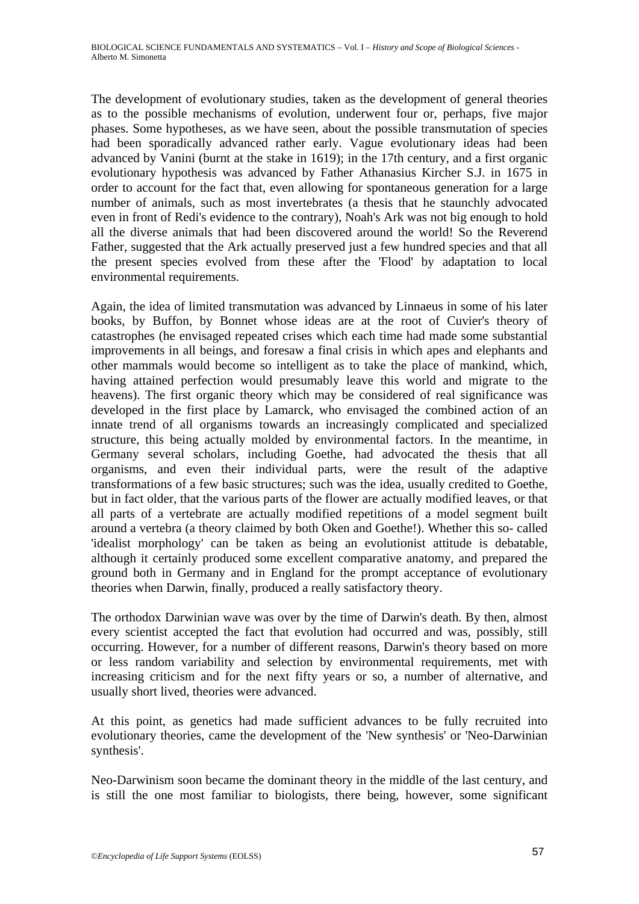The development of evolutionary studies, taken as the development of general theories as to the possible mechanisms of evolution, underwent four or, perhaps, five major phases. Some hypotheses, as we have seen, about the possible transmutation of species had been sporadically advanced rather early. Vague evolutionary ideas had been advanced by Vanini (burnt at the stake in 1619); in the 17th century, and a first organic evolutionary hypothesis was advanced by Father Athanasius Kircher S.J. in 1675 in order to account for the fact that, even allowing for spontaneous generation for a large number of animals, such as most invertebrates (a thesis that he staunchly advocated even in front of Redi's evidence to the contrary), Noah's Ark was not big enough to hold all the diverse animals that had been discovered around the world! So the Reverend Father, suggested that the Ark actually preserved just a few hundred species and that all the present species evolved from these after the 'Flood' by adaptation to local environmental requirements.

Again, the idea of limited transmutation was advanced by Linnaeus in some of his later books, by Buffon, by Bonnet whose ideas are at the root of Cuvier's theory of catastrophes (he envisaged repeated crises which each time had made some substantial improvements in all beings, and foresaw a final crisis in which apes and elephants and other mammals would become so intelligent as to take the place of mankind, which, having attained perfection would presumably leave this world and migrate to the heavens). The first organic theory which may be considered of real significance was developed in the first place by Lamarck, who envisaged the combined action of an innate trend of all organisms towards an increasingly complicated and specialized structure, this being actually molded by environmental factors. In the meantime, in Germany several scholars, including Goethe, had advocated the thesis that all organisms, and even their individual parts, were the result of the adaptive transformations of a few basic structures; such was the idea, usually credited to Goethe, but in fact older, that the various parts of the flower are actually modified leaves, or that all parts of a vertebrate are actually modified repetitions of a model segment built around a vertebra (a theory claimed by both Oken and Goethe!). Whether this so- called 'idealist morphology' can be taken as being an evolutionist attitude is debatable, although it certainly produced some excellent comparative anatomy, and prepared the ground both in Germany and in England for the prompt acceptance of evolutionary theories when Darwin, finally, produced a really satisfactory theory.

The orthodox Darwinian wave was over by the time of Darwin's death. By then, almost every scientist accepted the fact that evolution had occurred and was, possibly, still occurring. However, for a number of different reasons, Darwin's theory based on more or less random variability and selection by environmental requirements, met with increasing criticism and for the next fifty years or so, a number of alternative, and usually short lived, theories were advanced.

At this point, as genetics had made sufficient advances to be fully recruited into evolutionary theories, came the development of the 'New synthesis' or 'Neo-Darwinian synthesis'.

Neo-Darwinism soon became the dominant theory in the middle of the last century, and is still the one most familiar to biologists, there being, however, some significant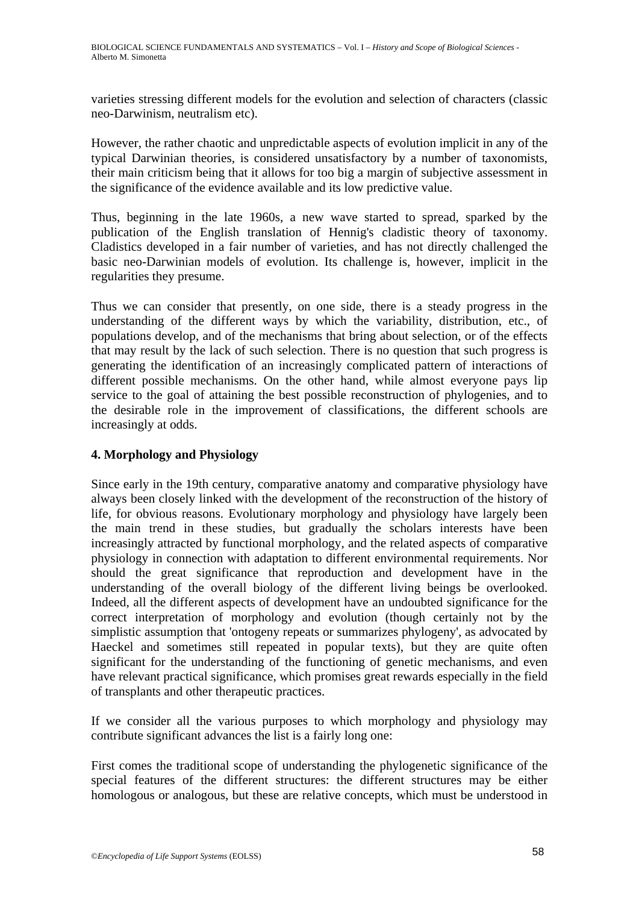varieties stressing different models for the evolution and selection of characters (classic neo-Darwinism, neutralism etc).

However, the rather chaotic and unpredictable aspects of evolution implicit in any of the typical Darwinian theories, is considered unsatisfactory by a number of taxonomists, their main criticism being that it allows for too big a margin of subjective assessment in the significance of the evidence available and its low predictive value.

Thus, beginning in the late 1960s, a new wave started to spread, sparked by the publication of the English translation of Hennig's cladistic theory of taxonomy. Cladistics developed in a fair number of varieties, and has not directly challenged the basic neo-Darwinian models of evolution. Its challenge is, however, implicit in the regularities they presume.

Thus we can consider that presently, on one side, there is a steady progress in the understanding of the different ways by which the variability, distribution, etc., of populations develop, and of the mechanisms that bring about selection, or of the effects that may result by the lack of such selection. There is no question that such progress is generating the identification of an increasingly complicated pattern of interactions of different possible mechanisms. On the other hand, while almost everyone pays lip service to the goal of attaining the best possible reconstruction of phylogenies, and to the desirable role in the improvement of classifications, the different schools are increasingly at odds.

# **4. Morphology and Physiology**

Since early in the 19th century, comparative anatomy and comparative physiology have always been closely linked with the development of the reconstruction of the history of life, for obvious reasons. Evolutionary morphology and physiology have largely been the main trend in these studies, but gradually the scholars interests have been increasingly attracted by functional morphology, and the related aspects of comparative physiology in connection with adaptation to different environmental requirements. Nor should the great significance that reproduction and development have in the understanding of the overall biology of the different living beings be overlooked. Indeed, all the different aspects of development have an undoubted significance for the correct interpretation of morphology and evolution (though certainly not by the simplistic assumption that 'ontogeny repeats or summarizes phylogeny', as advocated by Haeckel and sometimes still repeated in popular texts), but they are quite often significant for the understanding of the functioning of genetic mechanisms, and even have relevant practical significance, which promises great rewards especially in the field of transplants and other therapeutic practices.

If we consider all the various purposes to which morphology and physiology may contribute significant advances the list is a fairly long one:

First comes the traditional scope of understanding the phylogenetic significance of the special features of the different structures: the different structures may be either homologous or analogous, but these are relative concepts, which must be understood in